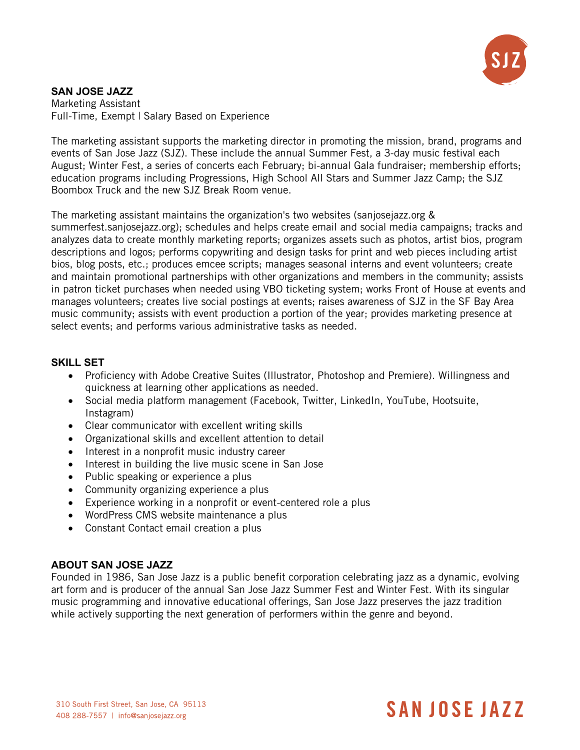

#### **SAN JOSE JAZZ** Marketing Assistant Full-Time, Exempt | Salary Based on Experience

The marketing assistant supports the marketing director in promoting the mission, brand, programs and events of San Jose Jazz (SJZ). These include the annual Summer Fest, a 3-day music festival each August; Winter Fest, a series of concerts each February; bi-annual Gala fundraiser; membership efforts; education programs including Progressions, High School All Stars and Summer Jazz Camp; the SJZ Boombox Truck and the new SJZ Break Room venue.

The marketing assistant maintains the organization's two websites (sanjosejazz.org &

summerfest.sanjosejazz.org); schedules and helps create email and social media campaigns; tracks and analyzes data to create monthly marketing reports; organizes assets such as photos, artist bios, program descriptions and logos; performs copywriting and design tasks for print and web pieces including artist bios, blog posts, etc.; produces emcee scripts; manages seasonal interns and event volunteers; create and maintain promotional partnerships with other organizations and members in the community; assists in patron ticket purchases when needed using VBO ticketing system; works Front of House at events and manages volunteers; creates live social postings at events; raises awareness of SJZ in the SF Bay Area music community; assists with event production a portion of the year; provides marketing presence at select events; and performs various administrative tasks as needed.

# **SKILL SET**

- Proficiency with Adobe Creative Suites (Illustrator, Photoshop and Premiere). Willingness and quickness at learning other applications as needed.
- Social media platform management (Facebook, Twitter, LinkedIn, YouTube, Hootsuite, Instagram)
- Clear communicator with excellent writing skills
- Organizational skills and excellent attention to detail
- Interest in a nonprofit music industry career
- Interest in building the live music scene in San Jose
- Public speaking or experience a plus
- Community organizing experience a plus
- Experience working in a nonprofit or event-centered role a plus
- WordPress CMS website maintenance a plus
- Constant Contact email creation a plus

### **ABOUT SAN JOSE JAZZ**

Founded in 1986, San Jose Jazz is a public benefit corporation celebrating jazz as a dynamic, evolving art form and is producer of the annual San Jose Jazz Summer Fest and Winter Fest. With its singular music programming and innovative educational offerings, San Jose Jazz preserves the jazz tradition while actively supporting the next generation of performers within the genre and beyond.

#### 310 South First Street, San Jose, CA 95113 408 288-7557 | info@saniosejazz.org

# **SANJOSE JAZZ**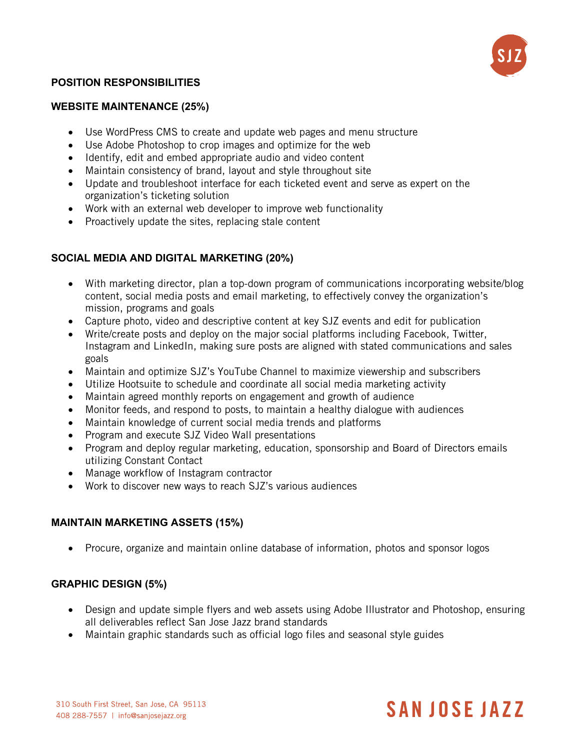

# **POSITION RESPONSIBILITIES**

#### **WEBSITE MAINTENANCE (25%)**

- Use WordPress CMS to create and update web pages and menu structure
- Use Adobe Photoshop to crop images and optimize for the web
- Identify, edit and embed appropriate audio and video content
- Maintain consistency of brand, layout and style throughout site
- Update and troubleshoot interface for each ticketed event and serve as expert on the organization's ticketing solution
- Work with an external web developer to improve web functionality
- Proactively update the sites, replacing stale content

# **SOCIAL MEDIA AND DIGITAL MARKETING (20%)**

- With marketing director, plan a top-down program of communications incorporating website/blog content, social media posts and email marketing, to effectively convey the organization's mission, programs and goals
- Capture photo, video and descriptive content at key SJZ events and edit for publication
- Write/create posts and deploy on the major social platforms including Facebook, Twitter, Instagram and LinkedIn, making sure posts are aligned with stated communications and sales goals
- Maintain and optimize SJZ's YouTube Channel to maximize viewership and subscribers
- Utilize Hootsuite to schedule and coordinate all social media marketing activity
- Maintain agreed monthly reports on engagement and growth of audience
- Monitor feeds, and respond to posts, to maintain a healthy dialogue with audiences
- Maintain knowledge of current social media trends and platforms
- Program and execute SJZ Video Wall presentations
- Program and deploy regular marketing, education, sponsorship and Board of Directors emails utilizing Constant Contact
- Manage workflow of Instagram contractor
- Work to discover new ways to reach SJZ's various audiences

#### **MAINTAIN MARKETING ASSETS (15%)**

• Procure, organize and maintain online database of information, photos and sponsor logos

### **GRAPHIC DESIGN (5%)**

- Design and update simple flyers and web assets using Adobe Illustrator and Photoshop, ensuring all deliverables reflect San Jose Jazz brand standards
- Maintain graphic standards such as official logo files and seasonal style guides

# **SANJOSE JAZZ**